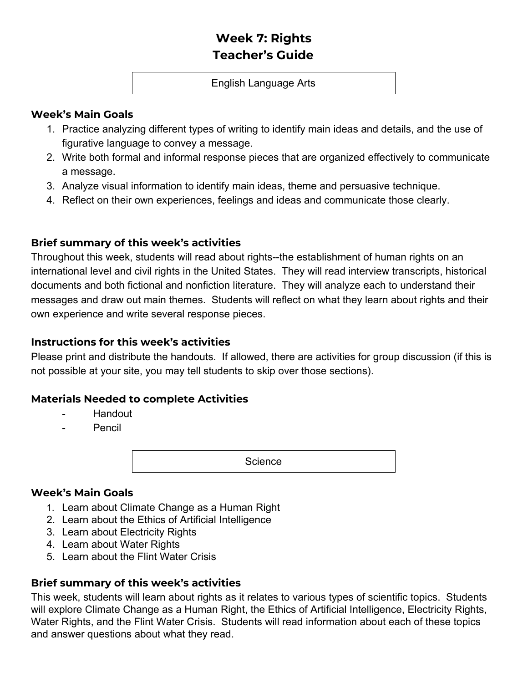# **Week 7: Rights Teacher's Guide**

#### English Language Arts

### **Week's Main Goals**

- 1. Practice analyzing different types of writing to identify main ideas and details, and the use of figurative language to convey a message.
- 2. Write both formal and informal response pieces that are organized effectively to communicate a message.
- 3. Analyze visual information to identify main ideas, theme and persuasive technique.
- 4. Reflect on their own experiences, feelings and ideas and communicate those clearly.

# **Brief summary of this week's activities**

Throughout this week, students will read about rights--the establishment of human rights on an international level and civil rights in the United States. They will read interview transcripts, historical documents and both fictional and nonfiction literature. They will analyze each to understand their messages and draw out main themes. Students will reflect on what they learn about rights and their own experience and write several response pieces.

# **Instructions for this week's activities**

Please print and distribute the handouts. If allowed, there are activities for group discussion (if this is not possible at your site, you may tell students to skip over those sections).

# **Materials Needed to complete Activities**

- Handout
- **Pencil**

**Science** 

# **Week's Main Goals**

- 1. Learn about Climate Change as a Human Right
- 2. Learn about the Ethics of Artificial Intelligence
- 3. Learn about Electricity Rights
- 4. Learn about Water Rights
- 5. Learn about the Flint Water Crisis

# **Brief summary of this week's activities**

This week, students will learn about rights as it relates to various types of scientific topics. Students will explore Climate Change as a Human Right, the Ethics of Artificial Intelligence, Electricity Rights, Water Rights, and the Flint Water Crisis. Students will read information about each of these topics and answer questions about what they read.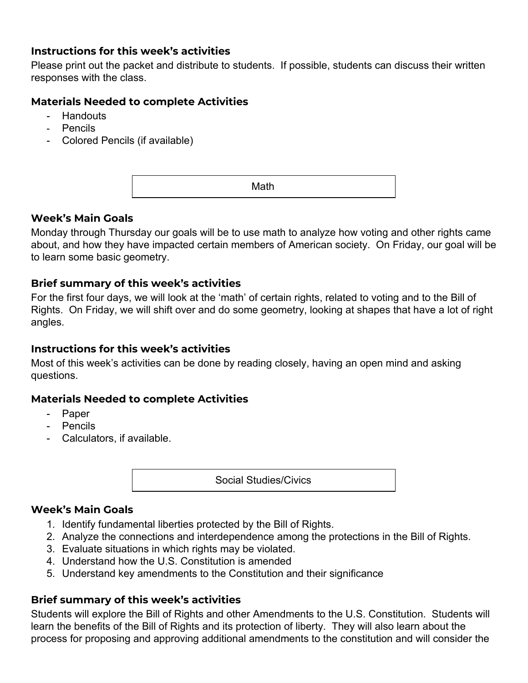# **Instructions for this week's activities**

Please print out the packet and distribute to students. If possible, students can discuss their written responses with the class.

# **Materials Needed to complete Activities**

- Handouts
- Pencils
- Colored Pencils (if available)

Math

### **Week's Main Goals**

Monday through Thursday our goals will be to use math to analyze how voting and other rights came about, and how they have impacted certain members of American society. On Friday, our goal will be to learn some basic geometry.

### **Brief summary of this week's activities**

For the first four days, we will look at the 'math' of certain rights, related to voting and to the Bill of Rights. On Friday, we will shift over and do some geometry, looking at shapes that have a lot of right angles.

# **Instructions for this week's activities**

Most of this week's activities can be done by reading closely, having an open mind and asking questions.

# **Materials Needed to complete Activities**

- Paper
- Pencils
- Calculators, if available.

Social Studies/Civics

#### **Week's Main Goals**

- 1. Identify fundamental liberties protected by the Bill of Rights.
- 2. Analyze the connections and interdependence among the protections in the Bill of Rights.
- 3. Evaluate situations in which rights may be violated.
- 4. Understand how the U.S. Constitution is amended
- 5. Understand key amendments to the Constitution and their significance

# **Brief summary of this week's activities**

Students will explore the Bill of Rights and other Amendments to the U.S. Constitution. Students will learn the benefits of the Bill of Rights and its protection of liberty. They will also learn about the process for proposing and approving additional amendments to the constitution and will consider the